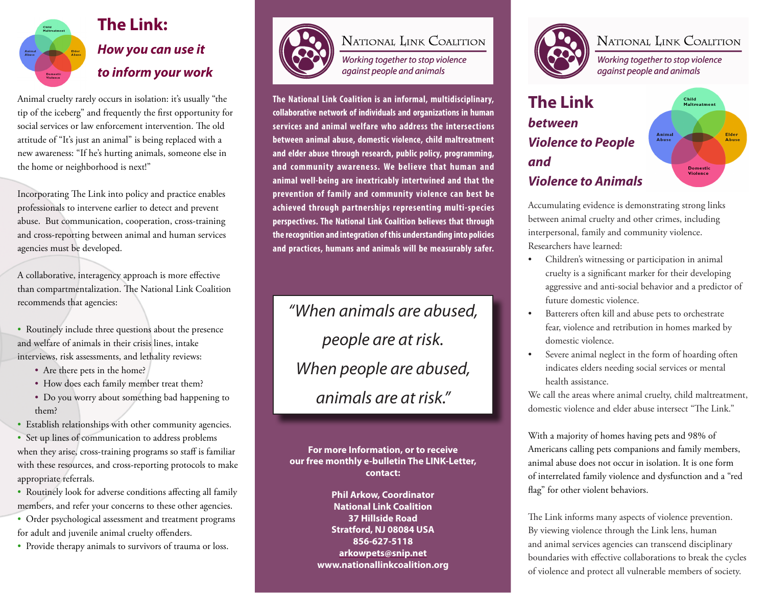

# **The Link:**  *How you can use it to inform your work*

Animal cruelty rarely occurs in isolation: it's usually "the tip of the iceberg" and frequently the first opportunity for social services or law enforcement intervention. The old attitude of "It's just an animal" is being replaced with a new awareness: "If he's hurting animals, someone else in the home or neighborhood is next!"

Incorporating The Link into policy and practice enables professionals to intervene earlier to detect and prevent abuse. But communication, cooperation, cross-training and cross-reporting between animal and human services agencies must be developed.

A collaborative, interagency approach is more effective than compartmentalization. The National Link Coalition recommends that agencies:

• Routinely include three questions about the presence and welfare of animals in their crisis lines, intake interviews, risk assessments, and lethality reviews:

- Are there pets in the home?
- How does each family member treat them?
- Do you worry about something bad happening to them?
- Establish relationships with other community agencies.

• Set up lines of communication to address problems when they arise, cross-training programs so staff is familiar with these resources, and cross-reporting protocols to make appropriate referrals.

• Routinely look for adverse conditions affecting all family members, and refer your concerns to these other agencies.

• Order psychological assessment and treatment programs for adult and juvenile animal cruelty offenders.

• Provide therapy animals to survivors of trauma or loss.



### NATIONAL LINK COALITION

Working together to stop violence against people and animals

**The National Link Coalition is an informal, multidisciplinary, collaborative network of individuals and organizations in human services and animal welfare who address the intersections between animal abuse, domestic violence, child maltreatment and elder abuse through research, public policy, programming, and community awareness. We believe that human and animal well-being are inextricably intertwined and that the prevention of family and community violence can best be achieved through partnerships representing multi-species perspectives. The National Link Coalition believes that through the recognition and integration of this understanding into policies and practices, humans and animals will be measurably safer.**

*"When animals are abused, people are at risk. When people are abused, animals are at risk."*

**For more Information, or to receive our free monthly e-bulletin The LINK-Letter, contact:**

> **Phil Arkow, Coordinator National Link Coalition 37 Hillside Road Stratford, NJ 08084 USA 856-627-5118 arkowpets@snip.net www.nationallinkcoalition.org**



## NATIONAL LINK COALITION

Working together to stop violence against people and animals

#### **The Link**  Child **Maltreatment** *between*  Anima<br>Abuse *Violence to People and*  **Domestic** *Violence to Animals*

Accumulating evidence is demonstrating strong links between animal cruelty and other crimes, including interpersonal, family and community violence. Researchers have learned:

- Children's witnessing or participation in animal cruelty is a significant marker for their developing aggressive and anti-social behavior and a predictor of future domestic violence.
- Batterers often kill and abuse pets to orchestrate fear, violence and retribution in homes marked by domestic violence.
- Severe animal neglect in the form of hoarding often indicates elders needing social services or mental health assistance.

We call the areas where animal cruelty, child maltreatment, domestic violence and elder abuse intersect "The Link."

With a majority of homes having pets and 98% of Americans calling pets companions and family members, animal abuse does not occur in isolation. It is one form of interrelated family violence and dysfunction and a "red flag" for other violent behaviors.

The Link informs many aspects of violence prevention. By viewing violence through the Link lens, human and animal services agencies can transcend disciplinary boundaries with effective collaborations to break the cycles of violence and protect all vulnerable members of society.